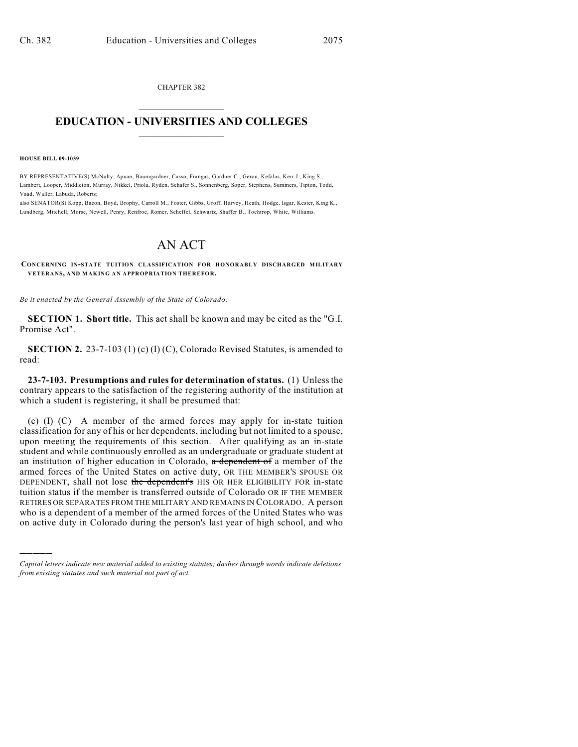CHAPTER 382  $\mathcal{L}_\text{max}$  . The set of the set of the set of the set of the set of the set of the set of the set of the set of the set of the set of the set of the set of the set of the set of the set of the set of the set of the set

## **EDUCATION - UNIVERSITIES AND COLLEGES**  $\_$

**HOUSE BILL 09-1039**

)))))

BY REPRESENTATIVE(S) McNulty, Apuan, Baumgardner, Casso, Frangas, Gardner C., Gerou, Kefalas, Kerr J., King S., Lambert, Looper, Middleton, Murray, Nikkel, Priola, Ryden, Schafer S., Sonnenberg, Soper, Stephens, Summers, Tipton, Todd, Vaad, Waller, Labuda, Roberts;

also SENATOR(S) Kopp, Bacon, Boyd, Brophy, Carroll M., Foster, Gibbs, Groff, Harvey, Heath, Hodge, Isgar, Kester, King K., Lundberg, Mitchell, Morse, Newell, Penry, Renfroe, Romer, Scheffel, Schwartz, Shaffer B., Tochtrop, White, Williams.

## AN ACT

**CONCERNING IN-STATE TUITION CLASSIFICATION FOR HONORABLY DISCHARGED MILITARY VETERANS, AND MAKING AN APPROPRIATION THEREFOR.**

*Be it enacted by the General Assembly of the State of Colorado:*

**SECTION 1. Short title.** This act shall be known and may be cited as the "G.I. Promise Act".

**SECTION 2.** 23-7-103 (1) (c) (I) (C), Colorado Revised Statutes, is amended to read:

**23-7-103. Presumptions and rules for determination of status.** (1) Unless the contrary appears to the satisfaction of the registering authority of the institution at which a student is registering, it shall be presumed that:

(c) (I) (C) A member of the armed forces may apply for in-state tuition classification for any of his or her dependents, including but not limited to a spouse, upon meeting the requirements of this section. After qualifying as an in-state student and while continuously enrolled as an undergraduate or graduate student at an institution of higher education in Colorado,  $\alpha$  dependent of a member of the armed forces of the United States on active duty, OR THE MEMBER'S SPOUSE OR DEPENDENT, shall not lose the dependent's HIS OR HER ELIGIBILITY FOR in-state tuition status if the member is transferred outside of Colorado OR IF THE MEMBER RETIRES OR SEPARATES FROM THE MILITARY AND REMAINS IN COLORADO. A person who is a dependent of a member of the armed forces of the United States who was on active duty in Colorado during the person's last year of high school, and who

*Capital letters indicate new material added to existing statutes; dashes through words indicate deletions from existing statutes and such material not part of act.*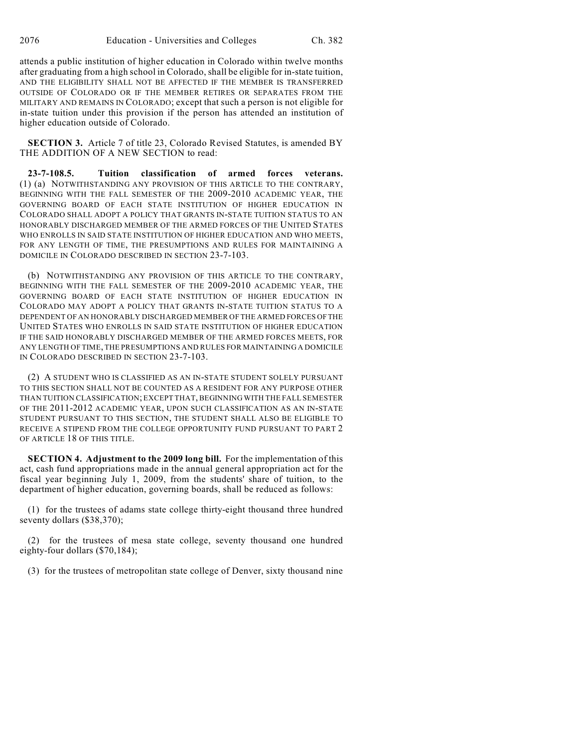attends a public institution of higher education in Colorado within twelve months after graduating from a high school in Colorado, shall be eligible for in-state tuition, AND THE ELIGIBILITY SHALL NOT BE AFFECTED IF THE MEMBER IS TRANSFERRED OUTSIDE OF COLORADO OR IF THE MEMBER RETIRES OR SEPARATES FROM THE MILITARY AND REMAINS IN COLORADO; except that such a person is not eligible for in-state tuition under this provision if the person has attended an institution of higher education outside of Colorado.

**SECTION 3.** Article 7 of title 23, Colorado Revised Statutes, is amended BY THE ADDITION OF A NEW SECTION to read:

**23-7-108.5. Tuition classification of armed forces veterans.** (1) (a) NOTWITHSTANDING ANY PROVISION OF THIS ARTICLE TO THE CONTRARY, BEGINNING WITH THE FALL SEMESTER OF THE 2009-2010 ACADEMIC YEAR, THE GOVERNING BOARD OF EACH STATE INSTITUTION OF HIGHER EDUCATION IN COLORADO SHALL ADOPT A POLICY THAT GRANTS IN-STATE TUITION STATUS TO AN HONORABLY DISCHARGED MEMBER OF THE ARMED FORCES OF THE UNITED STATES WHO ENROLLS IN SAID STATE INSTITUTION OF HIGHER EDUCATION AND WHO MEETS, FOR ANY LENGTH OF TIME, THE PRESUMPTIONS AND RULES FOR MAINTAINING A DOMICILE IN COLORADO DESCRIBED IN SECTION 23-7-103.

(b) NOTWITHSTANDING ANY PROVISION OF THIS ARTICLE TO THE CONTRARY, BEGINNING WITH THE FALL SEMESTER OF THE 2009-2010 ACADEMIC YEAR, THE GOVERNING BOARD OF EACH STATE INSTITUTION OF HIGHER EDUCATION IN COLORADO MAY ADOPT A POLICY THAT GRANTS IN-STATE TUITION STATUS TO A DEPENDENT OF AN HONORABLY DISCHARGED MEMBER OF THE ARMED FORCES OF THE UNITED STATES WHO ENROLLS IN SAID STATE INSTITUTION OF HIGHER EDUCATION IF THE SAID HONORABLY DISCHARGED MEMBER OF THE ARMED FORCES MEETS, FOR ANY LENGTH OF TIME, THE PRESUMPTIONS AND RULES FOR MAINTAINING A DOMICILE IN COLORADO DESCRIBED IN SECTION 23-7-103.

(2) A STUDENT WHO IS CLASSIFIED AS AN IN-STATE STUDENT SOLELY PURSUANT TO THIS SECTION SHALL NOT BE COUNTED AS A RESIDENT FOR ANY PURPOSE OTHER THAN TUITION CLASSIFICATION; EXCEPT THAT, BEGINNING WITH THE FALL SEMESTER OF THE 2011-2012 ACADEMIC YEAR, UPON SUCH CLASSIFICATION AS AN IN-STATE STUDENT PURSUANT TO THIS SECTION, THE STUDENT SHALL ALSO BE ELIGIBLE TO RECEIVE A STIPEND FROM THE COLLEGE OPPORTUNITY FUND PURSUANT TO PART 2 OF ARTICLE 18 OF THIS TITLE.

**SECTION 4. Adjustment to the 2009 long bill.** For the implementation of this act, cash fund appropriations made in the annual general appropriation act for the fiscal year beginning July 1, 2009, from the students' share of tuition, to the department of higher education, governing boards, shall be reduced as follows:

(1) for the trustees of adams state college thirty-eight thousand three hundred seventy dollars (\$38,370);

(2) for the trustees of mesa state college, seventy thousand one hundred eighty-four dollars (\$70,184);

(3) for the trustees of metropolitan state college of Denver, sixty thousand nine